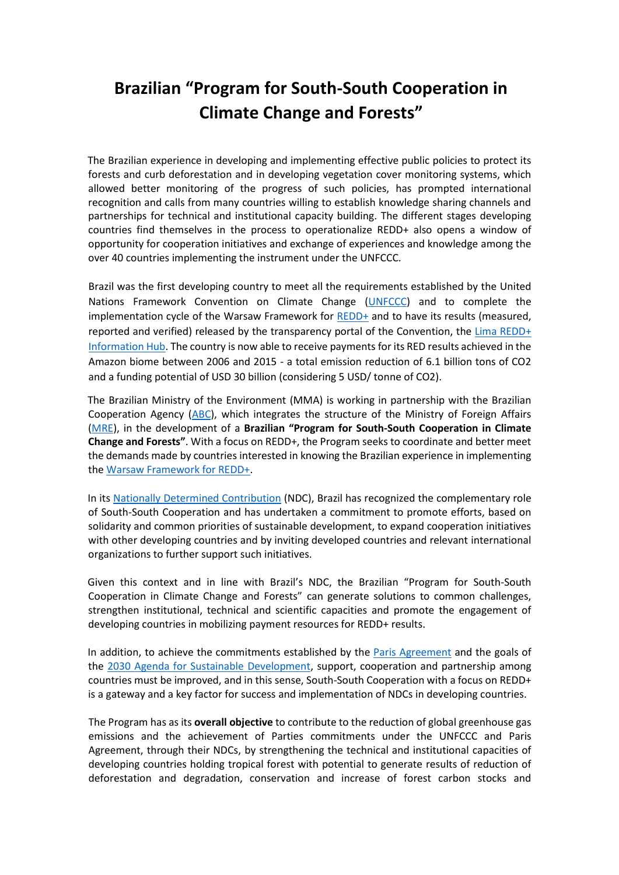## **Brazilian "Program for South-South Cooperation in Climate Change and Forests"**

The Brazilian experience in developing and implementing effective public policies to protect its forests and curb deforestation and in developing vegetation cover monitoring systems, which allowed better monitoring of the progress of such policies, has prompted international recognition and calls from many countries willing to establish knowledge sharing channels and partnerships for technical and institutional capacity building. The different stages developing countries find themselves in the process to operationalize REDD+ also opens a window of opportunity for cooperation initiatives and exchange of experiences and knowledge among the over 40 countries implementing the instrument under the UNFCCC.

Brazil was the first developing country to meet all the requirements established by the United Nations Framework Convention on Climate Change [\(UNFCCC\)](http://unfccc.int/) and to complete the implementation cycle of the Warsaw Framework for [REDD+](http://redd.unfccc.int/) and to have its results (measured, reported and verified) released by the transparency portal of the Convention, the [Lima REDD+](http://redd.unfccc.int/info-hub.html)  [Information Hub.](http://redd.unfccc.int/info-hub.html) The country is now able to receive payments for its RED results achieved in the Amazon biome between 2006 and 2015 - a total emission reduction of 6.1 billion tons of CO2 and a funding potential of USD 30 billion (considering 5 USD/ tonne of CO2).

The Brazilian Ministry of the Environment (MMA) is working in partnership with the Brazilian Cooperation Agency [\(ABC\)](http://www.abc.gov.br/), which integrates the structure of the Ministry of Foreign Affairs [\(MRE\)](http://www.itamaraty.gov.br/en/), in the development of a **Brazilian "Program for South-South Cooperation in Climate Change and Forests"**. With a focus on REDD+, the Program seeks to coordinate and better meet the demands made by countries interested in knowing the Brazilian experience in implementing the [Warsaw Framework for REDD+.](http://redd.unfccc.int/fact-sheets/warsaw-framework-for-redd.html)

In its [Nationally Determined Contribution](http://www4.unfccc.int/submissions/INDC/Published%20Documents/Brazil/1/BRAZIL%20iNDC%20english%20FINAL.pdf) (NDC), Brazil has recognized the complementary role of South-South Cooperation and has undertaken a commitment to promote efforts, based on solidarity and common priorities of sustainable development, to expand cooperation initiatives with other developing countries and by inviting developed countries and relevant international organizations to further support such initiatives.

Given this context and in line with Brazil's NDC, the Brazilian "Program for South-South Cooperation in Climate Change and Forests" can generate solutions to common challenges, strengthen institutional, technical and scientific capacities and promote the engagement of developing countries in mobilizing payment resources for REDD+ results.

In addition, to achieve the commitments established by the [Paris Agreement](http://unfccc.int/paris_agreement/items/9485.php) and the goals of the [2030 Agenda for Sustainable Development,](http://www.un.org/sustainabledevelopment/) support, cooperation and partnership among countries must be improved, and in this sense, South-South Cooperation with a focus on REDD+ is a gateway and a key factor for success and implementation of NDCs in developing countries.

The Program has as its **overall objective** to contribute to the reduction of global greenhouse gas emissions and the achievement of Parties commitments under the UNFCCC and Paris Agreement, through their NDCs, by strengthening the technical and institutional capacities of developing countries holding tropical forest with potential to generate results of reduction of deforestation and degradation, conservation and increase of forest carbon stocks and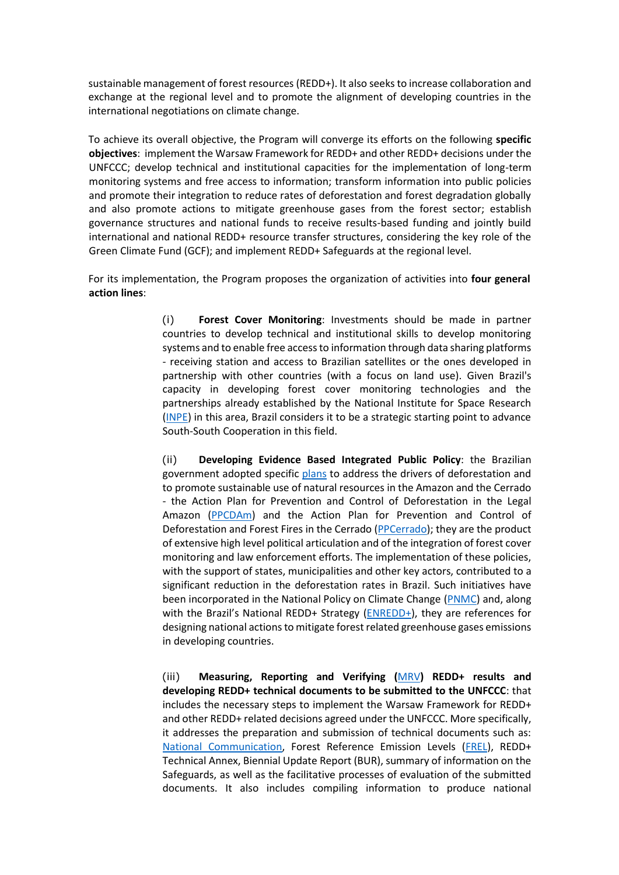sustainable management of forest resources (REDD+). It also seeks to increase collaboration and exchange at the regional level and to promote the alignment of developing countries in the international negotiations on climate change.

To achieve its overall objective, the Program will converge its efforts on the following **specific objectives**: implement the Warsaw Framework for REDD+ and other REDD+ decisions under the UNFCCC; develop technical and institutional capacities for the implementation of long-term monitoring systems and free access to information; transform information into public policies and promote their integration to reduce rates of deforestation and forest degradation globally and also promote actions to mitigate greenhouse gases from the forest sector; establish governance structures and national funds to receive results-based funding and jointly build international and national REDD+ resource transfer structures, considering the key role of the Green Climate Fund (GCF); and implement REDD+ Safeguards at the regional level.

For its implementation, the Program proposes the organization of activities into **four general action lines**:

> (i) **[Forest Cover Monitoring](http://redd.mma.gov.br/en/monitoring)**[:](http://redd.mma.gov.br/en/monitoring) Investments should be made in partner countries to develop technical and institutional skills to develop monitoring systems and to enable free access to information through data sharing platforms - receiving station and access to Brazilian satellites or the ones developed in partnership with other countries (with a focus on land use). Given Brazil's capacity in developing forest cover monitoring technologies and the partnerships already established by the National Institute for Space Research [\(INPE\)](http://www.inpe.br/ingles/) in this area, Brazil considers it to be a strategic starting point to advance South-South Cooperation in this field.

> (ii) **Developing Evidence Based Integrated [Public Policy](http://redd.mma.gov.br/en/legal-and-public-policy-framework)**[:](http://redd.mma.gov.br/en/legal-and-public-policy-framework) the Brazilian government adopted specific [plans](http://combateaodesmatamento.mma.gov.br/) to address the drivers of deforestation and to promote sustainable use of natural resources in the Amazon and the Cerrado - th[e](http://redd.mma.gov.br/en/legal-and-public-policy-framework/ppcdam) [Action Plan for Prevention and Control of Deforestation in the Legal](http://redd.mma.gov.br/en/legal-and-public-policy-framework/ppcdam)  [Amazon](http://redd.mma.gov.br/en/legal-and-public-policy-framework/ppcdam) [\(PPCDAm\)](http://combateaodesmatamento.mma.gov.br/images/conteudo/Planos_ultima_fase.pdf) and the [Action Plan for Prevention and Control of](http://redd.mma.gov.br/en/legal-and-public-policy-framework/ppcerrado)  [Deforestation and Forest Fires in the Cerrado](http://redd.mma.gov.br/en/legal-and-public-policy-framework/ppcerrado) [\(PPCerrado\)](http://combateaodesmatamento.mma.gov.br/images/conteudo/Planos_ultima_fase.pdf); they are the product of extensive high level political articulation and of the integration of forest cover monitoring and law enforcement efforts. The implementation of these policies, with the support of states, municipalities and other key actors, contributed to a significant reduction in the deforestation rates in Brazil. Such initiatives have been incorporated in the National Policy on Climate Change [\(PNMC\)](http://www.mma.gov.br/clima/politica-nacional-sobre-mudanca-do-clima) and, along with th[e](http://redd.mma.gov.br/en/the-national-redd-strategy) Brazil's National REDD+ Strategy [\(ENREDD+\)](http://redd.mma.gov.br/en/the-national-redd-strategy), they are references for designing national actions to mitigate forest related greenhouse gases emissions in developing countries.

> (iii) **Measuring, Reporting and Verifying (**[MRV](http://redd.unfccc.int/fact-sheets/redd-mrv-and-results-based-payments.html)**) REDD+ resul[ts](http://redd.mma.gov.br/en/measuring-reporting-and-verifying-mrv-redd-results) and developing REDD+ technical documents to be submitted to the UNFCCC**: that includes the necessary steps to implement the [Warsaw Framework for REDD+](http://redd.mma.gov.br/en/redd-under-the-unfccc/the-incentives-structure) and other REDD+ related decisions agreed under the UNFCCC. More specifically, it addresses the preparation and submission of technical documents such as: [National Communication,](http://sirene.mcti.gov.br/publicacoes) Forest Reference Emission Levels [\(FREL\)](http://redd.unfccc.int/fact-sheets/forest-reference-emission-levels.html), REDD+ Technical Annex, Biennial Update Report (BUR), summary of information on the Safeguards, as well as the facilitative processes of evaluation of the submitted documents. It also includes compiling information to produce national